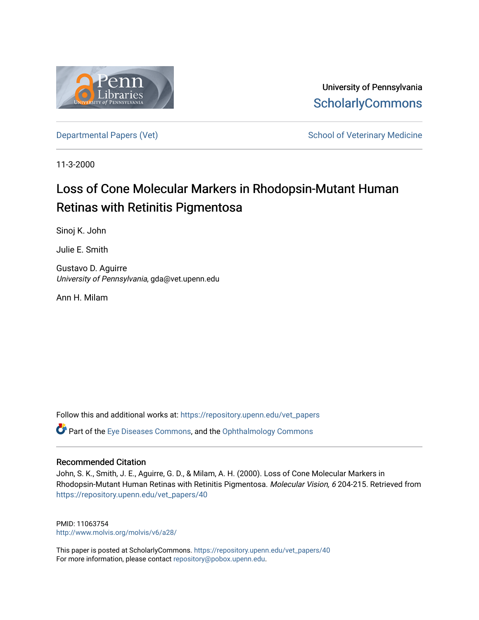

University of Pennsylvania **ScholarlyCommons** 

[Departmental Papers \(Vet\)](https://repository.upenn.edu/vet_papers) and School of Veterinary Medicine

11-3-2000

# Loss of Cone Molecular Markers in Rhodopsin-Mutant Human Retinas with Retinitis Pigmentosa

Sinoj K. John

Julie E. Smith

Gustavo D. Aguirre University of Pennsylvania, gda@vet.upenn.edu

Ann H. Milam

Follow this and additional works at: [https://repository.upenn.edu/vet\\_papers](https://repository.upenn.edu/vet_papers?utm_source=repository.upenn.edu%2Fvet_papers%2F40&utm_medium=PDF&utm_campaign=PDFCoverPages)  **P** Part of the [Eye Diseases Commons](http://network.bepress.com/hgg/discipline/957?utm_source=repository.upenn.edu%2Fvet_papers%2F40&utm_medium=PDF&utm_campaign=PDFCoverPages), and the Ophthalmology Commons

### Recommended Citation

John, S. K., Smith, J. E., Aguirre, G. D., & Milam, A. H. (2000). Loss of Cone Molecular Markers in Rhodopsin-Mutant Human Retinas with Retinitis Pigmentosa. Molecular Vision, 6 204-215. Retrieved from [https://repository.upenn.edu/vet\\_papers/40](https://repository.upenn.edu/vet_papers/40?utm_source=repository.upenn.edu%2Fvet_papers%2F40&utm_medium=PDF&utm_campaign=PDFCoverPages)

PMID: 11063754 <http://www.molvis.org/molvis/v6/a28/>

This paper is posted at ScholarlyCommons. [https://repository.upenn.edu/vet\\_papers/40](https://repository.upenn.edu/vet_papers/40) For more information, please contact [repository@pobox.upenn.edu.](mailto:repository@pobox.upenn.edu)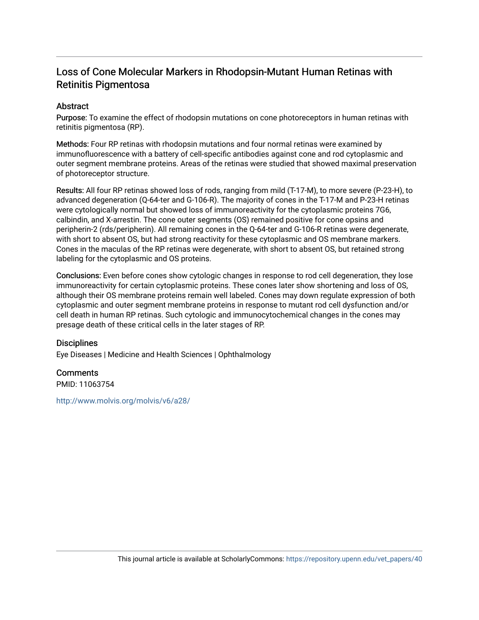## Loss of Cone Molecular Markers in Rhodopsin-Mutant Human Retinas with Retinitis Pigmentosa

## **Abstract**

Purpose: To examine the effect of rhodopsin mutations on cone photoreceptors in human retinas with retinitis pigmentosa (RP).

Methods: Four RP retinas with rhodopsin mutations and four normal retinas were examined by immunofluorescence with a battery of cell-specific antibodies against cone and rod cytoplasmic and outer segment membrane proteins. Areas of the retinas were studied that showed maximal preservation of photoreceptor structure.

Results: All four RP retinas showed loss of rods, ranging from mild (T-17-M), to more severe (P-23-H), to advanced degeneration (Q-64-ter and G-106-R). The majority of cones in the T-17-M and P-23-H retinas were cytologically normal but showed loss of immunoreactivity for the cytoplasmic proteins 7G6, calbindin, and X-arrestin. The cone outer segments (OS) remained positive for cone opsins and peripherin-2 (rds/peripherin). All remaining cones in the Q-64-ter and G-106-R retinas were degenerate, with short to absent OS, but had strong reactivity for these cytoplasmic and OS membrane markers. Cones in the maculas of the RP retinas were degenerate, with short to absent OS, but retained strong labeling for the cytoplasmic and OS proteins.

Conclusions: Even before cones show cytologic changes in response to rod cell degeneration, they lose immunoreactivity for certain cytoplasmic proteins. These cones later show shortening and loss of OS, although their OS membrane proteins remain well labeled. Cones may down regulate expression of both cytoplasmic and outer segment membrane proteins in response to mutant rod cell dysfunction and/or cell death in human RP retinas. Such cytologic and immunocytochemical changes in the cones may presage death of these critical cells in the later stages of RP.

### **Disciplines**

Eye Diseases | Medicine and Health Sciences | Ophthalmology

## **Comments**

PMID: 11063754

<http://www.molvis.org/molvis/v6/a28/>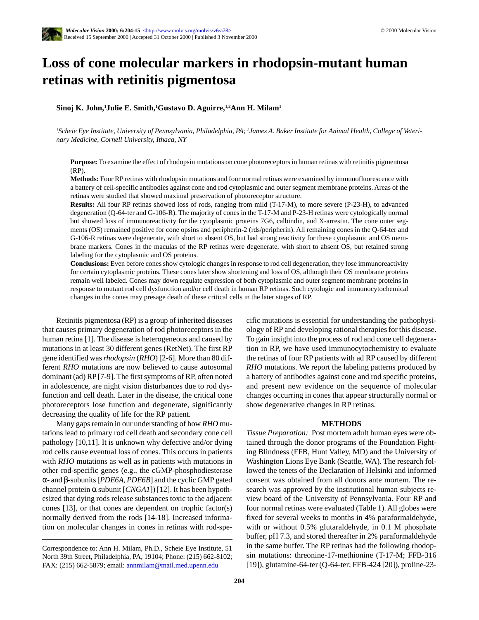# **Loss of cone molecular markers in rhodopsin-mutant human retinas with retinitis pigmentosa**

#### **Sinoj K. John,1 Julie E. Smith,1 Gustavo D. Aguirre,1,2Ann H. Milam1**

*1 Scheie Eye Institute, University of Pennsylvania, Philadelphia, PA; 2 James A. Baker Institute for Animal Health, College of Veterinary Medicine, Cornell University, Ithaca, NY*

**Purpose:** To examine the effect of rhodopsin mutations on cone photoreceptors in human retinas with retinitis pigmentosa (RP).

**Methods:** Four RP retinas with rhodopsin mutations and four normal retinas were examined by immunofluorescence with a battery of cell-specific antibodies against cone and rod cytoplasmic and outer segment membrane proteins. Areas of the retinas were studied that showed maximal preservation of photoreceptor structure.

**Results:** All four RP retinas showed loss of rods, ranging from mild (T-17-M), to more severe (P-23-H), to advanced degeneration (Q-64-ter and G-106-R). The majority of cones in the T-17-M and P-23-H retinas were cytologically normal but showed loss of immunoreactivity for the cytoplasmic proteins 7G6, calbindin, and X-arrestin. The cone outer segments (OS) remained positive for cone opsins and peripherin-2 (rds/peripherin). All remaining cones in the Q-64-ter and G-106-R retinas were degenerate, with short to absent OS, but had strong reactivity for these cytoplasmic and OS membrane markers. Cones in the maculas of the RP retinas were degenerate, with short to absent OS, but retained strong labeling for the cytoplasmic and OS proteins.

**Conclusions:** Even before cones show cytologic changes in response to rod cell degeneration, they lose immunoreactivity for certain cytoplasmic proteins. These cones later show shortening and loss of OS, although their OS membrane proteins remain well labeled. Cones may down regulate expression of both cytoplasmic and outer segment membrane proteins in response to mutant rod cell dysfunction and/or cell death in human RP retinas. Such cytologic and immunocytochemical changes in the cones may presage death of these critical cells in the later stages of RP.

Retinitis pigmentosa (RP) is a group of inherited diseases that causes primary degeneration of rod photoreceptors in the human retina [1]. The disease is heterogeneous and caused by mutations in at least 30 different genes (RetNet). The first RP gene identified was *rhodopsin* (*RHO*) [2-6]. More than 80 different *RHO* mutations are now believed to cause autosomal dominant (ad) RP [7-9]. The first symptoms of RP, often noted in adolescence, are night vision disturbances due to rod dysfunction and cell death. Later in the disease, the critical cone photoreceptors lose function and degenerate, significantly decreasing the quality of life for the RP patient.

Many gaps remain in our understanding of how *RHO* mutations lead to primary rod cell death and secondary cone cell pathology [10,11]. It is unknown why defective and/or dying rod cells cause eventual loss of cones. This occurs in patients with *RHO* mutations as well as in patients with mutations in other rod-specific genes (e.g., the cGMP-phosphodiesterase α- and β-subunits [*PDE6A*, *PDE6B*] and the cyclic GMP gated channel protein α subunit [*CNGA1*]) [12]. It has been hypothesized that dying rods release substances toxic to the adjacent cones [13], or that cones are dependent on trophic factor(s) normally derived from the rods [14-18]. Increased information on molecular changes in cones in retinas with rod-specific mutations is essential for understanding the pathophysiology of RP and developing rational therapies for this disease. To gain insight into the process of rod and cone cell degeneration in RP, we have used immunocytochemistry to evaluate the retinas of four RP patients with ad RP caused by different *RHO* mutations. We report the labeling patterns produced by a battery of antibodies against cone and rod specific proteins, and present new evidence on the sequence of molecular changes occurring in cones that appear structurally normal or show degenerative changes in RP retinas.

#### **METHODS**

*Tissue Preparation:* Post mortem adult human eyes were obtained through the donor programs of the Foundation Fighting Blindness (FFB, Hunt Valley, MD) and the University of Washington Lions Eye Bank (Seattle, WA). The research followed the tenets of the Declaration of Helsinki and informed consent was obtained from all donors ante mortem. The research was approved by the institutional human subjects review board of the University of Pennsylvania. Four RP and four normal retinas were evaluated (Table 1). All globes were fixed for several weeks to months in 4% paraformaldehyde, with or without 0.5% glutaraldehyde, in 0.1 M phosphate buffer, pH 7.3, and stored thereafter in 2% paraformaldehyde in the same buffer. The RP retinas had the following rhodopsin mutations: threonine-17-methionine (T-17-M; FFB-316 [19]), glutamine-64-ter (Q-64-ter; FFB-424 [20]), proline-23-

Correspondence to: Ann H. Milam, Ph.D., Scheie Eye Institute, 51 North 39th Street, Philadelphia, PA, 19104; Phone: (215) 662-8102; FAX: (215) 662-5879; email: annmilam@mail.med.upenn.edu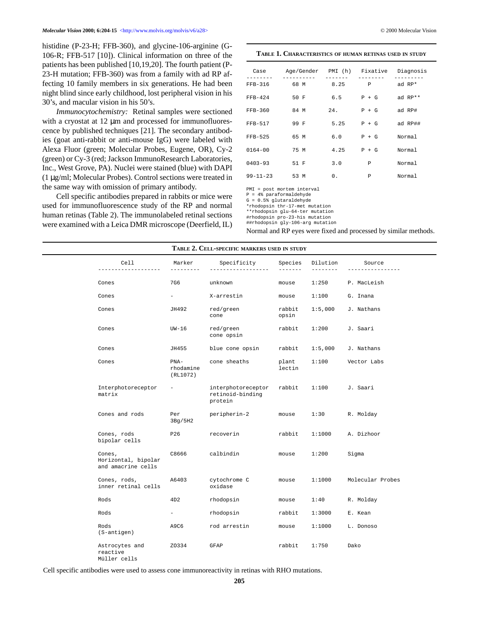histidine (P-23-H; FFB-360), and glycine-106-arginine (G-106-R; FFB-517 [10]). Clinical information on three of the patients has been published [10,19,20]. The fourth patient (P-23-H mutation; FFB-360) was from a family with ad RP affecting 10 family members in six generations. He had been night blind since early childhood, lost peripheral vision in his 30's, and macular vision in his 50's.

*Immunocytochemistry:* Retinal samples were sectioned with a cryostat at 12  $\mu$ m and processed for immunofluorescence by published techniques [21]. The secondary antibodies (goat anti-rabbit or anti-mouse IgG) were labeled with Alexa Fluor (green; Molecular Probes, Eugene, OR), Cy-2 (green) or Cy-3 (red; Jackson ImmunoResearch Laboratories, Inc., West Grove, PA). Nuclei were stained (blue) with DAPI (1 µg/ml; Molecular Probes). Control sections were treated in the same way with omission of primary antibody.

Cell specific antibodies prepared in rabbits or mice were used for immunofluorescence study of the RP and normal human retinas (Table 2). The immunolabeled retinal sections were examined with a Leica DMR microscope (Deerfield, IL)

| Case                | Age/Gender PMI (h) Fixative |                 |               | Diagnosis            |
|---------------------|-----------------------------|-----------------|---------------|----------------------|
| --------<br>FFB-316 | ----------<br>68 M          | -------<br>8.25 | --------<br>P | --------<br>ad $RP*$ |
| $FFB-424$           | 50 F                        | 6.5             | $P + G$       | ad RP**              |
| FFB-360             | 84 M                        | 24.             | $P + G$       | ad RP#               |
| FFB-517             | 99 F                        | 5.25            | $P + G$       | ad RP##              |
| FFB-525             | 65 M                        | 6.0             | $P + G$       | Normal               |
| $0164 - 00$         | 75 M                        | 4.25            | $P + G$       | Normal               |
| $0403 - 93$         | 51 F                        | 3.0             | P             | Normal               |
| 99-11-23            | 53 M                        | 0.              | Ρ             | Normal               |

PMI = post mortem interval

P = 4% paraformaldehyde G = 0.5% glutaraldehyde

\*rhodopsin thr-17-met mutation

\*\*rhodopsin glu-64-ter mutation

#rhodopsin pro-23-his mutation

##rhodopsin gly-106-arg mutation

Normal and RP eyes were fixed and processed by similar methods.

|  |                                                     | TABLE 2. CELL-SPECIFIC MARKERS USED IN STUDY |                                                   |                 |                       |                  |  |
|--|-----------------------------------------------------|----------------------------------------------|---------------------------------------------------|-----------------|-----------------------|------------------|--|
|  | Cell                                                | Marker<br>---------                          | Specificity                                       | Species         | Dilution<br>$- - - -$ | Source           |  |
|  | Cones                                               | 7G6                                          | unknown                                           | mouse           | 1:250                 | P. MacLeish      |  |
|  | Cones                                               | $ \,$                                        | X-arrestin                                        | mouse           | 1:100                 | G. Inana         |  |
|  | Cones                                               | JH492                                        | red/green<br>cone                                 | rabbit<br>opsin | 1:5,000               | J. Nathans       |  |
|  | Cones                                               | $UN-16$                                      | red/green<br>cone opsin                           | rabbit          | 1:200                 | J. Saari         |  |
|  | Cones                                               | JH455                                        | blue cone opsin                                   | rabbit          | 1:5,000               | J. Nathans       |  |
|  | Cones                                               | $PNA-$<br>rhodamine<br>(RL1072)              | cone sheaths                                      | plant<br>lectin | 1:100                 | Vector Labs      |  |
|  | Interphotoreceptor<br>matrix                        |                                              | interphotoreceptor<br>retinoid-binding<br>protein | rabbit          | 1:100                 | J. Saari         |  |
|  | Cones and rods                                      | Per<br>3Bg/5H2                               | peripherin-2                                      | mouse           | 1:30                  | R. Molday        |  |
|  | Cones, rods<br>bipolar cells                        | P26                                          | recoverin                                         | rabbit          | 1:1000                | A. Dizhoor       |  |
|  | Cones,<br>Horizontal, bipolar<br>and amacrine cells | C8666                                        | calbindin                                         | mouse           | 1:200                 | Sigma            |  |
|  | Cones, rods,<br>inner retinal cells                 | A6403                                        | cytochrome C<br>oxidase                           | mouse           | 1:1000                | Molecular Probes |  |
|  | Rods                                                | 4D2                                          | rhodopsin                                         | mouse           | 1:40                  | R. Molday        |  |
|  | Rods                                                | $ \,$                                        | rhodopsin                                         | rabbit          | 1:3000                | E. Kean          |  |
|  | Rods<br>(S-antigen)                                 | A9C6                                         | rod arrestin                                      | mouse           | 1:1000                | L. Donoso        |  |
|  | Astrocytes and<br>reactive<br>Müller cells          | Z0334                                        | GFAP                                              | rabbit          | 1:750                 | Dako             |  |

Cell specific antibodies were used to assess cone immunoreactivity in retinas with RHO mutations.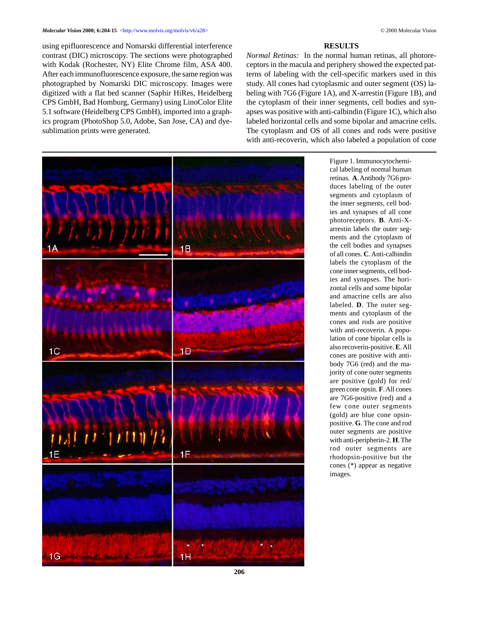using epifluorescence and Nomarski differential interference contrast (DIC) microscopy. The sections were photographed with Kodak (Rochester, NY) Elite Chrome film, ASA 400. After each immunofluorescence exposure, the same region was photographed by Nomarski DIC microscopy. Images were digitized with a flat bed scanner (Saphir HiRes, Heidelberg CPS GmbH, Bad Homburg, Germany) using LinoColor Elite 5.1 software (Heidelberg CPS GmbH), imported into a graphics program (PhotoShop 5.0, Adobe, San Jose, CA) and dyesublimation prints were generated.

#### **RESULTS**

*Normal Retinas:* In the normal human retinas, all photoreceptors in the macula and periphery showed the expected patterns of labeling with the cell-specific markers used in this study. All cones had cytoplasmic and outer segment (OS) labeling with 7G6 (Figure 1A), and X-arrestin (Figure 1B), and the cytoplasm of their inner segments, cell bodies and synapses was positive with anti-calbindin (Figure 1C), which also labeled horizontal cells and some bipolar and amacrine cells. The cytoplasm and OS of all cones and rods were positive with anti-recoverin, which also labeled a population of cone



Figure 1. Immunocytochemical labeling of normal human retinas. **A**. Antibody 7G6 produces labeling of the outer segments and cytoplasm of the inner segments, cell bodies and synapses of all cone photoreceptors. **B**. Anti-Xarrestin labels the outer segments and the cytoplasm of the cell bodies and synapses of all cones. **C**. Anti-calbindin labels the cytoplasm of the cone inner segments, cell bodies and synapses. The horizontal cells and some bipolar and amacrine cells are also labeled. **D**. The outer segments and cytoplasm of the cones and rods are positive with anti-recoverin. A population of cone bipolar cells is also recoverin-positive. **E**. All cones are positive with antibody 7G6 (red) and the majority of cone outer segments are positive (gold) for red/ green cone opsin. **F**. All cones are 7G6-positive (red) and a few cone outer segments (gold) are blue cone opsinpositive. **G**. The cone and rod outer segments are positive with anti-peripherin-2. **H**. The rod outer segments are rhodopsin-positive but the cones (\*) appear as negative images.

**206**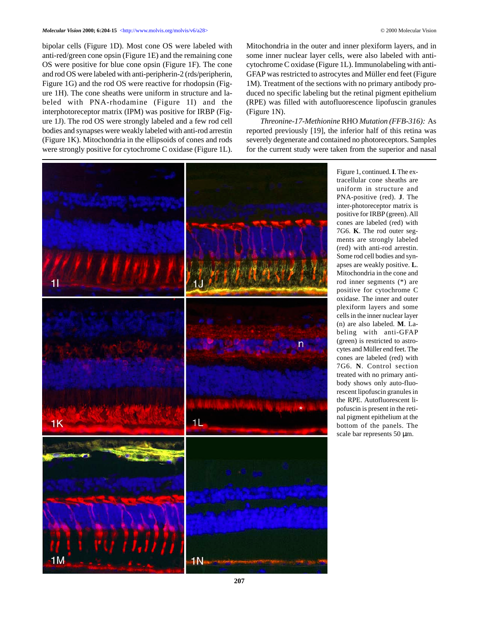bipolar cells (Figure 1D). Most cone OS were labeled with anti-red/green cone opsin (Figure 1E) and the remaining cone OS were positive for blue cone opsin (Figure 1F). The cone and rod OS were labeled with anti-peripherin-2 (rds/peripherin, Figure 1G) and the rod OS were reactive for rhodopsin (Figure 1H). The cone sheaths were uniform in structure and labeled with PNA-rhodamine (Figure 1I) and the interphotoreceptor matrix (IPM) was positive for IRBP (Figure 1J). The rod OS were strongly labeled and a few rod cell bodies and synapses were weakly labeled with anti-rod arrestin (Figure 1K). Mitochondria in the ellipsoids of cones and rods

were strongly positive for cytochrome C oxidase (Figure 1L).

Mitochondria in the outer and inner plexiform layers, and in some inner nuclear layer cells, were also labeled with anticytochrome C oxidase (Figure 1L). Immunolabeling with anti-GFAP was restricted to astrocytes and Müller end feet (Figure 1M). Treatment of the sections with no primary antibody produced no specific labeling but the retinal pigment epithelium (RPE) was filled with autofluorescence lipofuscin granules (Figure 1N).

*Threonine-17-Methionine* RHO *Mutation (FFB-316):* As reported previously [19], the inferior half of this retina was severely degenerate and contained no photoreceptors. Samples for the current study were taken from the superior and nasal



Figure 1, continued. **I**. The extracellular cone sheaths are uniform in structure and PNA-positive (red). **J**. The inter-photoreceptor matrix is positive for IRBP (green). All cones are labeled (red) with 7G6. **K**. The rod outer segments are strongly labeled (red) with anti-rod arrestin. Some rod cell bodies and synapses are weakly positive. **L**. Mitochondria in the cone and rod inner segments (\*) are positive for cytochrome C oxidase. The inner and outer plexiform layers and some cells in the inner nuclear layer (n) are also labeled. **M**. Labeling with anti-GFAP (green) is restricted to astrocytes and Müller end feet. The cones are labeled (red) with 7G6. **N**. Control section treated with no primary antibody shows only auto-fluorescent lipofuscin granules in the RPE. Autofluorescent lipofuscin is present in the retinal pigment epithelium at the bottom of the panels. The scale bar represents 50  $\mu$ m.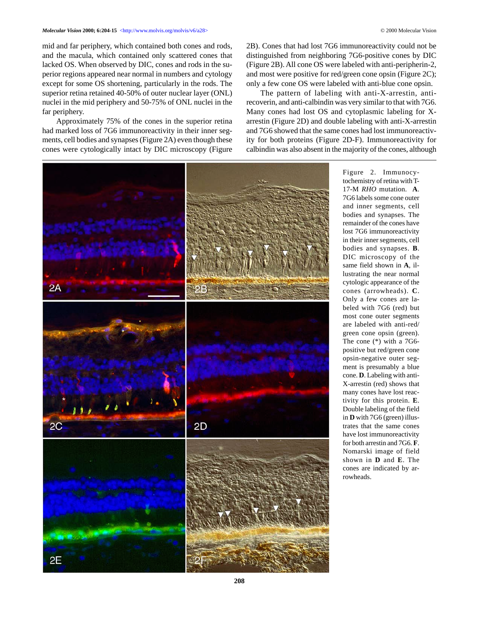mid and far periphery, which contained both cones and rods, and the macula, which contained only scattered cones that lacked OS. When observed by DIC, cones and rods in the superior regions appeared near normal in numbers and cytology except for some OS shortening, particularly in the rods. The superior retina retained 40-50% of outer nuclear layer (ONL) nuclei in the mid periphery and 50-75% of ONL nuclei in the far periphery.

Approximately 75% of the cones in the superior retina had marked loss of 7G6 immunoreactivity in their inner segments, cell bodies and synapses (Figure 2A) even though these cones were cytologically intact by DIC microscopy (Figure 2B). Cones that had lost 7G6 immunoreactivity could not be distinguished from neighboring 7G6-positive cones by DIC (Figure 2B). All cone OS were labeled with anti-peripherin-2, and most were positive for red/green cone opsin (Figure 2C); only a few cone OS were labeled with anti-blue cone opsin.

The pattern of labeling with anti-X-arrestin, antirecoverin, and anti-calbindin was very similar to that with 7G6. Many cones had lost OS and cytoplasmic labeling for Xarrestin (Figure 2D) and double labeling with anti-X-arrestin and 7G6 showed that the same cones had lost immunoreactivity for both proteins (Figure 2D-F). Immunoreactivity for calbindin was also absent in the majority of the cones, although



Figure 2. Immunocytochemistry of retina with T-17-M *RHO* mutation. **A**. 7G6 labels some cone outer and inner segments, cell bodies and synapses. The remainder of the cones have lost 7G6 immunoreactivity in their inner segments, cell bodies and synapses. **B**. DIC microscopy of the same field shown in **A**, illustrating the near normal cytologic appearance of the cones (arrowheads). **C**. Only a few cones are labeled with 7G6 (red) but most cone outer segments are labeled with anti-red/ green cone opsin (green). The cone (\*) with a 7G6 positive but red/green cone opsin-negative outer segment is presumably a blue cone. **D**. Labeling with anti-X-arrestin (red) shows that many cones have lost reactivity for this protein. **E**. Double labeling of the field in **D** with 7G6 (green) illustrates that the same cones have lost immunoreactivity for both arrestin and 7G6. **F**. Nomarski image of field shown in **D** and **E**. The cones are indicated by arrowheads.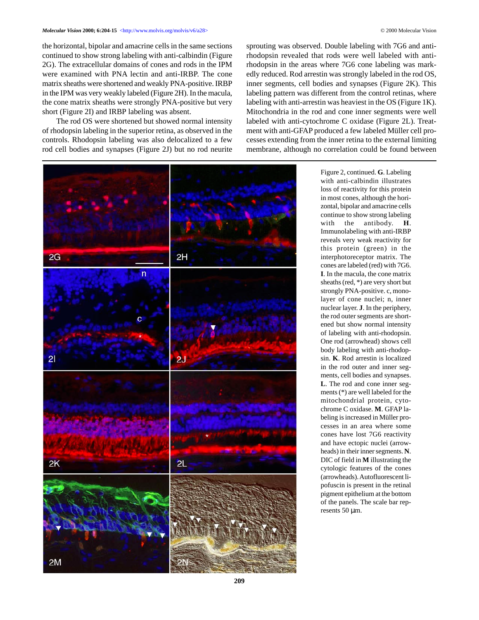the horizontal, bipolar and amacrine cells in the same sections continued to show strong labeling with anti-calbindin (Figure 2G). The extracellular domains of cones and rods in the IPM were examined with PNA lectin and anti-IRBP. The cone matrix sheaths were shortened and weakly PNA-positive. IRBP in the IPM was very weakly labeled (Figure 2H). In the macula, the cone matrix sheaths were strongly PNA-positive but very short (Figure 2I) and IRBP labeling was absent.

The rod OS were shortened but showed normal intensity of rhodopsin labeling in the superior retina, as observed in the controls. Rhodopsin labeling was also delocalized to a few rod cell bodies and synapses (Figure 2J) but no rod neurite sprouting was observed. Double labeling with 7G6 and antirhodopsin revealed that rods were well labeled with antirhodopsin in the areas where 7G6 cone labeling was markedly reduced. Rod arrestin was strongly labeled in the rod OS, inner segments, cell bodies and synapses (Figure 2K). This labeling pattern was different from the control retinas, where labeling with anti-arrestin was heaviest in the OS (Figure 1K). Mitochondria in the rod and cone inner segments were well labeled with anti-cytochrome C oxidase (Figure 2L). Treatment with anti-GFAP produced a few labeled Müller cell processes extending from the inner retina to the external limiting membrane, although no correlation could be found between



Figure 2, continued. **G**. Labeling with anti-calbindin illustrates loss of reactivity for this protein in most cones, although the horizontal, bipolar and amacrine cells continue to show strong labeling with the antibody. **H**. Immunolabeling with anti-IRBP reveals very weak reactivity for this protein (green) in the interphotoreceptor matrix. The cones are labeled (red) with 7G6. **I**. In the macula, the cone matrix sheaths (red, \*) are very short but strongly PNA-positive. c, monolayer of cone nuclei; n, inner nuclear layer. **J**. In the periphery, the rod outer segments are shortened but show normal intensity of labeling with anti-rhodopsin. One rod (arrowhead) shows cell body labeling with anti-rhodopsin. **K**. Rod arrestin is localized in the rod outer and inner segments, cell bodies and synapses. **L**. The rod and cone inner segments (\*) are well labeled for the mitochondrial protein, cytochrome C oxidase. **M**. GFAP labeling is increased in Müller processes in an area where some cones have lost 7G6 reactivity and have ectopic nuclei (arrowheads) in their inner segments. **N**. DIC of field in **M** illustrating the cytologic features of the cones (arrowheads). Autofluorescent lipofuscin is present in the retinal pigment epithelium at the bottom of the panels. The scale bar represents 50 µm.

**209**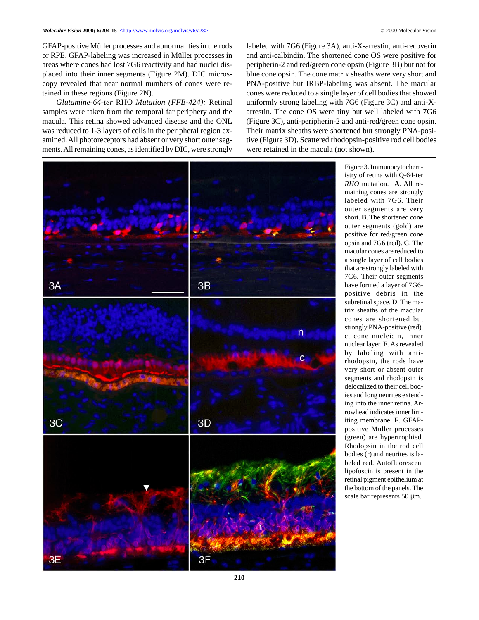GFAP-positive Müller processes and abnormalities in the rods or RPE. GFAP-labeling was increased in Müller processes in areas where cones had lost 7G6 reactivity and had nuclei displaced into their inner segments (Figure 2M). DIC microscopy revealed that near normal numbers of cones were retained in these regions (Figure 2N).

*Glutamine-64-ter* RHO *Mutation (FFB-424):* Retinal samples were taken from the temporal far periphery and the macula. This retina showed advanced disease and the ONL was reduced to 1-3 layers of cells in the peripheral region examined. All photoreceptors had absent or very short outer segments. All remaining cones, as identified by DIC, were strongly labeled with 7G6 (Figure 3A), anti-X-arrestin, anti-recoverin and anti-calbindin. The shortened cone OS were positive for peripherin-2 and red/green cone opsin (Figure 3B) but not for blue cone opsin. The cone matrix sheaths were very short and PNA-positive but IRBP-labeling was absent. The macular cones were reduced to a single layer of cell bodies that showed uniformly strong labeling with 7G6 (Figure 3C) and anti-Xarrestin. The cone OS were tiny but well labeled with 7G6 (Figure 3C), anti-peripherin-2 and anti-red/green cone opsin. Their matrix sheaths were shortened but strongly PNA-positive (Figure 3D). Scattered rhodopsin-positive rod cell bodies were retained in the macula (not shown).



Figure 3. Immunocytochemistry of retina with Q-64-ter *RHO* mutation. **A**. All remaining cones are strongly labeled with 7G6. Their outer segments are very short. **B**. The shortened cone outer segments (gold) are positive for red/green cone opsin and 7G6 (red). **C**. The macular cones are reduced to a single layer of cell bodies that are strongly labeled with 7G6. Their outer segments have formed a layer of 7G6 positive debris in the subretinal space. **D**. The matrix sheaths of the macular cones are shortened but strongly PNA-positive (red). c, cone nuclei; n, inner nuclear layer. **E**. As revealed by labeling with antirhodopsin, the rods have very short or absent outer segments and rhodopsin is delocalized to their cell bodies and long neurites extending into the inner retina. Arrowhead indicates inner limiting membrane. **F**. GFAPpositive Müller processes (green) are hypertrophied. Rhodopsin in the rod cell bodies (r) and neurites is labeled red. Autofluorescent lipofuscin is present in the retinal pigment epithelium at the bottom of the panels. The scale bar represents 50 µm.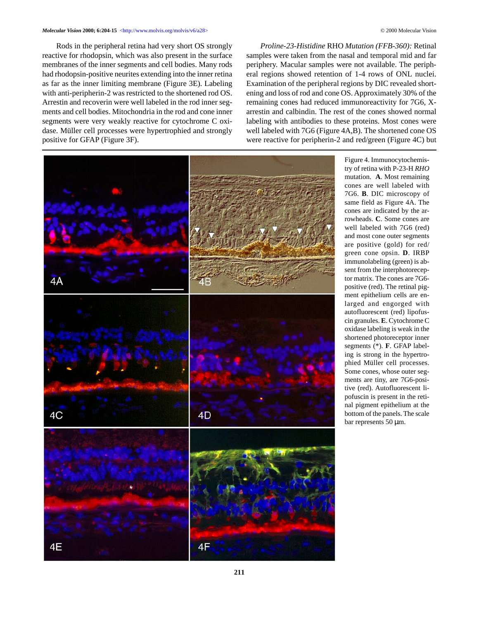Rods in the peripheral retina had very short OS strongly reactive for rhodopsin, which was also present in the surface membranes of the inner segments and cell bodies. Many rods had rhodopsin-positive neurites extending into the inner retina as far as the inner limiting membrane (Figure 3E). Labeling with anti-peripherin-2 was restricted to the shortened rod OS. Arrestin and recoverin were well labeled in the rod inner segments and cell bodies. Mitochondria in the rod and cone inner segments were very weakly reactive for cytochrome C oxidase. Müller cell processes were hypertrophied and strongly positive for GFAP (Figure 3F).

*Proline-23-Histidine* RHO *Mutation (FFB-360):* Retinal samples were taken from the nasal and temporal mid and far periphery. Macular samples were not available. The peripheral regions showed retention of 1-4 rows of ONL nuclei. Examination of the peripheral regions by DIC revealed shortening and loss of rod and cone OS. Approximately 30% of the remaining cones had reduced immunoreactivity for 7G6, Xarrestin and calbindin. The rest of the cones showed normal labeling with antibodies to these proteins. Most cones were well labeled with 7G6 (Figure 4A,B). The shortened cone OS were reactive for peripherin-2 and red/green (Figure 4C) but



Figure 4. Immunocytochemistry of retina with P-23-H *RHO* mutation. **A**. Most remaining cones are well labeled with 7G6. **B**. DIC microscopy of same field as Figure 4A. The cones are indicated by the arrowheads. **C**. Some cones are well labeled with 7G6 (red) and most cone outer segments are positive (gold) for red/ green cone opsin. **D**. IRBP immunolabeling (green) is absent from the interphotoreceptor matrix. The cones are 7G6 positive (red). The retinal pigment epithelium cells are enlarged and engorged with autofluorescent (red) lipofuscin granules. **E**. Cytochrome C oxidase labeling is weak in the shortened photoreceptor inner segments (\*). **F**. GFAP labeling is strong in the hypertrophied Müller cell processes. Some cones, whose outer segments are tiny, are 7G6-positive (red). Autofluorescent lipofuscin is present in the retinal pigment epithelium at the bottom of the panels. The scale bar represents 50 µm.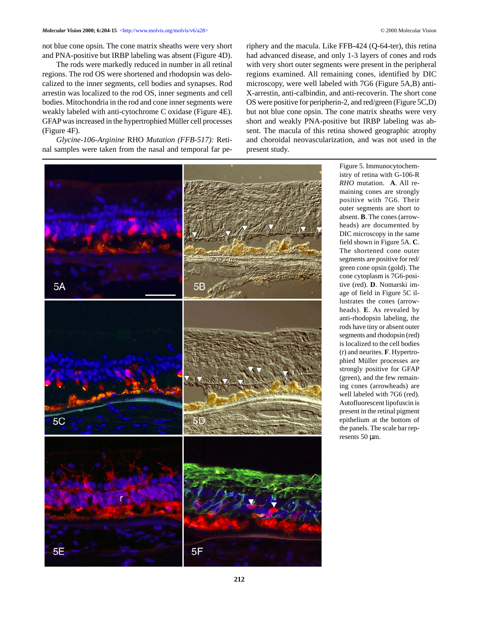not blue cone opsin. The cone matrix sheaths were very short and PNA-positive but IRBP labeling was absent (Figure 4D).

The rods were markedly reduced in number in all retinal regions. The rod OS were shortened and rhodopsin was delocalized to the inner segments, cell bodies and synapses. Rod arrestin was localized to the rod OS, inner segments and cell bodies. Mitochondria in the rod and cone inner segments were weakly labeled with anti-cytochrome C oxidase (Figure 4E). GFAP was increased in the hypertrophied Müller cell processes (Figure 4F).

*Glycine-106-Arginine* RHO *Mutation (FFB-517):* Retinal samples were taken from the nasal and temporal far periphery and the macula. Like FFB-424 (Q-64-ter), this retina had advanced disease, and only 1-3 layers of cones and rods with very short outer segments were present in the peripheral regions examined. All remaining cones, identified by DIC microscopy, were well labeled with 7G6 (Figure 5A,B) anti-X-arrestin, anti-calbindin, and anti-recoverin. The short cone OS were positive for peripherin-2, and red/green (Figure 5C,D) but not blue cone opsin. The cone matrix sheaths were very short and weakly PNA-positive but IRBP labeling was absent. The macula of this retina showed geographic atrophy and choroidal neovascularization, and was not used in the present study.



istry of retina with G-106-R *RHO* mutation. **A**. All remaining cones are strongly positive with 7G6. Their outer segments are short to absent. **B**. The cones (arrowheads) are documented by DIC microscopy in the same field shown in Figure 5A. **C**. The shortened cone outer segments are positive for red/ green cone opsin (gold). The cone cytoplasm is 7G6-positive (red). **D**. Nomarski image of field in Figure 5C illustrates the cones (arrowheads). **E**. As revealed by anti-rhodopsin labeling, the rods have tiny or absent outer segments and rhodopsin (red) is localized to the cell bodies (r) and neurites. **F**. Hypertrophied Müller processes are strongly positive for GFAP (green), and the few remaining cones (arrowheads) are well labeled with 7G6 (red). Autofluorescent lipofuscin is present in the retinal pigment epithelium at the bottom of the panels. The scale bar represents 50 µm.

Figure 5. Immunocytochem-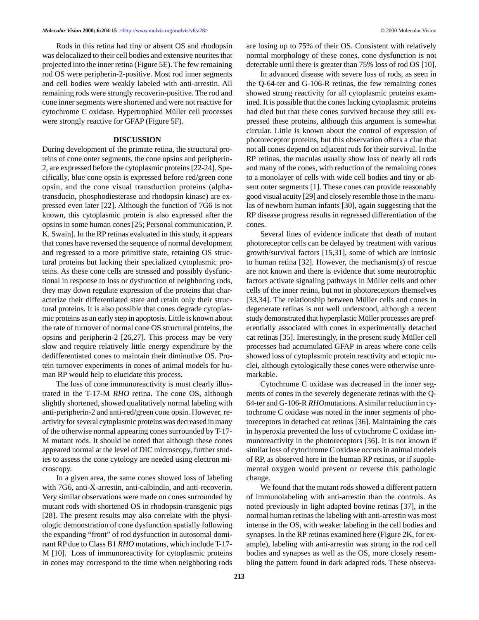Rods in this retina had tiny or absent OS and rhodopsin was delocalized to their cell bodies and extensive neurites that projected into the inner retina (Figure 5E). The few remaining rod OS were peripherin-2-positive. Most rod inner segments and cell bodies were weakly labeled with anti-arrestin. All remaining rods were strongly recoverin-positive. The rod and cone inner segments were shortened and were not reactive for cytochrome C oxidase. Hypertrophied Müller cell processes were strongly reactive for GFAP (Figure 5F).

#### **DISCUSSION**

During development of the primate retina, the structural proteins of cone outer segments, the cone opsins and peripherin-2, are expressed before the cytoplasmic proteins [22-24]. Specifically, blue cone opsin is expressed before red/green cone opsin, and the cone visual transduction proteins (alphatransducin, phosphodiesterase and rhodopsin kinase) are expressed even later [22]. Although the function of 7G6 is not known, this cytoplasmic protein is also expressed after the opsins in some human cones [25; Personal communication, P. K. Swain]. In the RP retinas evaluated in this study, it appears that cones have reversed the sequence of normal development and regressed to a more primitive state, retaining OS structural proteins but lacking their specialized cytoplasmic proteins. As these cone cells are stressed and possibly dysfunctional in response to loss or dysfunction of neighboring rods, they may down regulate expression of the proteins that characterize their differentiated state and retain only their structural proteins. It is also possible that cones degrade cytoplasmic proteins as an early step in apoptosis. Little is known about the rate of turnover of normal cone OS structural proteins, the opsins and peripherin-2 [26,27]. This process may be very slow and require relatively little energy expenditure by the dedifferentiated cones to maintain their diminutive OS. Protein turnover experiments in cones of animal models for human RP would help to elucidate this process.

The loss of cone immunoreactivity is most clearly illustrated in the T-17-M *RHO* retina. The cone OS, although slightly shortened, showed qualitatively normal labeling with anti-peripherin-2 and anti-red/green cone opsin. However, reactivity for several cytoplasmic proteins was decreased in many of the otherwise normal appearing cones surrounded by T-17- M mutant rods. It should be noted that although these cones appeared normal at the level of DIC microscopy, further studies to assess the cone cytology are needed using electron microscopy.

In a given area, the same cones showed loss of labeling with 7G6, anti-X-arrestin, anti-calbindin, and anti-recoverin. Very similar observations were made on cones surrounded by mutant rods with shortened OS in rhodopsin-transgenic pigs [28]. The present results may also correlate with the physiologic demonstration of cone dysfunction spatially following the expanding "front" of rod dysfunction in autosomal dominant RP due to Class B1 *RHO* mutations, which include T-17- M [10]. Loss of immunoreactivity for cytoplasmic proteins in cones may correspond to the time when neighboring rods are losing up to 75% of their OS. Consistent with relatively normal morphology of these cones, cone dysfunction is not detectable until there is greater than 75% loss of rod OS [10].

In advanced disease with severe loss of rods, as seen in the Q-64-ter and G-106-R retinas, the few remaining cones showed strong reactivity for all cytoplasmic proteins examined. It is possible that the cones lacking cytoplasmic proteins had died but that these cones survived because they still expressed these proteins, although this argument is somewhat circular. Little is known about the control of expression of photoreceptor proteins, but this observation offers a clue that not all cones depend on adjacent rods for their survival. In the RP retinas, the maculas usually show loss of nearly all rods and many of the cones, with reduction of the remaining cones to a monolayer of cells with wide cell bodies and tiny or absent outer segments [1]. These cones can provide reasonably good visual acuity [29] and closely resemble those in the maculas of newborn human infants [30], again suggesting that the RP disease progress results in regressed differentiation of the cones.

Several lines of evidence indicate that death of mutant photoreceptor cells can be delayed by treatment with various growth/survival factors [15,31], some of which are intrinsic to human retina [32]. However, the mechanism(s) of rescue are not known and there is evidence that some neurotrophic factors activate signaling pathways in Müller cells and other cells of the inner retina, but not in photoreceptors themselves [33,34]. The relationship between Müller cells and cones in degenerate retinas is not well understood, although a recent study demonstrated that hyperplastic Müller processes are preferentially associated with cones in experimentally detached cat retinas [35]. Interestingly, in the present study Müller cell processes had accumulated GFAP in areas where cone cells showed loss of cytoplasmic protein reactivity and ectopic nuclei, although cytologically these cones were otherwise unremarkable.

Cytochrome C oxidase was decreased in the inner segments of cones in the severely degenerate retinas with the Q-64-ter and G-106-R *RHO*mutations. A similar reduction in cytochrome C oxidase was noted in the inner segments of photoreceptors in detached cat retinas [36]. Maintaining the cats in hyperoxia prevented the loss of cytochrome C oxidase immunoreactivity in the photoreceptors [36]. It is not known if similar loss of cytochrome C oxidase occurs in animal models of RP, as observed here in the human RP retinas, or if supplemental oxygen would prevent or reverse this pathologic change.

We found that the mutant rods showed a different pattern of immunolabeling with anti-arrestin than the controls. As noted previously in light adapted bovine retinas [37], in the normal human retinas the labeling with anti-arrestin was most intense in the OS, with weaker labeling in the cell bodies and synapses. In the RP retinas examined here (Figure 2K, for example), labeling with anti-arrestin was strong in the rod cell bodies and synapses as well as the OS, more closely resembling the pattern found in dark adapted rods. These observa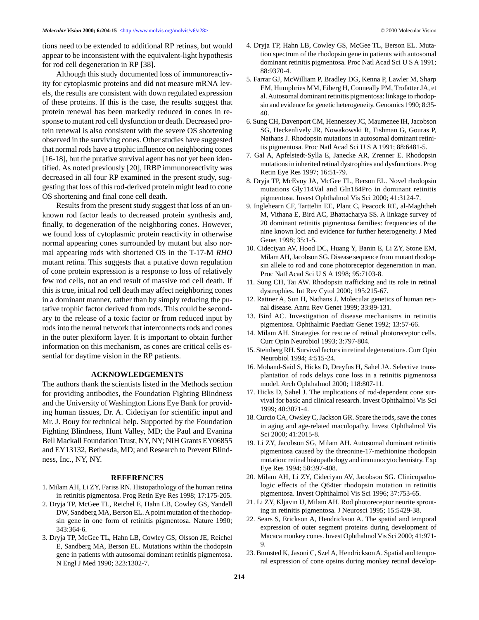tions need to be extended to additional RP retinas, but would appear to be inconsistent with the equivalent-light hypothesis for rod cell degeneration in RP [38].

Although this study documented loss of immunoreactivity for cytoplasmic proteins and did not measure mRNA levels, the results are consistent with down regulated expression of these proteins. If this is the case, the results suggest that protein renewal has been markedly reduced in cones in response to mutant rod cell dysfunction or death. Decreased protein renewal is also consistent with the severe OS shortening observed in the surviving cones. Other studies have suggested that normal rods have a trophic influence on neighboring cones [16-18], but the putative survival agent has not yet been identified. As noted previously [20], IRBP immunoreactivity was decreased in all four RP examined in the present study, suggesting that loss of this rod-derived protein might lead to cone OS shortening and final cone cell death.

Results from the present study suggest that loss of an unknown rod factor leads to decreased protein synthesis and, finally, to degeneration of the neighboring cones. However, we found loss of cytoplasmic protein reactivity in otherwise normal appearing cones surrounded by mutant but also normal appearing rods with shortened OS in the T-17-M *RHO* mutant retina. This suggests that a putative down regulation of cone protein expression is a response to loss of relatively few rod cells, not an end result of massive rod cell death. If this is true, initial rod cell death may affect neighboring cones in a dominant manner, rather than by simply reducing the putative trophic factor derived from rods. This could be secondary to the release of a toxic factor or from reduced input by rods into the neural network that interconnects rods and cones in the outer plexiform layer. It is important to obtain further information on this mechanism, as cones are critical cells essential for daytime vision in the RP patients.

#### **ACKNOWLEDGEMENTS**

The authors thank the scientists listed in the Methods section for providing antibodies, the Foundation Fighting Blindness and the University of Washington Lions Eye Bank for providing human tissues, Dr. A. Cideciyan for scientific input and Mr. J. Bouy for technical help. Supported by the Foundation Fighting Blindness, Hunt Valley, MD; the Paul and Evanina Bell Mackall Foundation Trust, NY, NY; NIH Grants EY06855 and EY13132, Bethesda, MD; and Research to Prevent Blindness, Inc., NY, NY.

#### **REFERENCES**

- 1. Milam AH, Li ZY, Fariss RN. Histopathology of the human retina in retinitis pigmentosa. Prog Retin Eye Res 1998; 17:175-205.
- 2. Dryja TP, McGee TL, Reichel E, Hahn LB, Cowley GS, Yandell DW, Sandberg MA, Berson EL. A point mutation of the rhodopsin gene in one form of retinitis pigmentosa. Nature 1990; 343:364-6.
- 3. Dryja TP, McGee TL, Hahn LB, Cowley GS, Olsson JE, Reichel E, Sandberg MA, Berson EL. Mutations within the rhodopsin gene in patients with autosomal dominant retinitis pigmentosa. N Engl J Med 1990; 323:1302-7.
- 4. Dryja TP, Hahn LB, Cowley GS, McGee TL, Berson EL. Mutation spectrum of the rhodopsin gene in patients with autosomal dominant retinitis pigmentosa. Proc Natl Acad Sci U S A 1991; 88:9370-4.
- 5. Farrar GJ, McWilliam P, Bradley DG, Kenna P, Lawler M, Sharp EM, Humphries MM, Eiberg H, Conneally PM, Trofatter JA, et al. Autosomal dominant retinitis pigmentosa: linkage to rhodopsin and evidence for genetic heterogeneity. Genomics 1990; 8:35- 40.
- 6. Sung CH, Davenport CM, Hennessey JC, Maumenee IH, Jacobson SG, Heckenlively JR, Nowakowski R, Fishman G, Gouras P, Nathans J. Rhodopsin mutations in autosomal dominant retinitis pigmentosa. Proc Natl Acad Sci U S A 1991; 88:6481-5.
- 7. Gal A, Apfelstedt-Sylla E, Janecke AR, Zrenner E. Rhodopsin mutations in inherited retinal dystrophies and dysfunctions. Prog Retin Eye Res 1997; 16:51-79.
- 8. Dryja TP, McEvoy JA, McGee TL, Berson EL. Novel rhodopsin mutations Gly114Val and Gln184Pro in dominant retinitis pigmentosa. Invest Ophthalmol Vis Sci 2000; 41:3124-7.
- 9. Inglehearn CF, Tarttelin EE, Plant C, Peacock RE, al-Maghtheh M, Vithana E, Bird AC, Bhattacharya SS. A linkage survey of 20 dominant retinitis pigmentosa families: frequencies of the nine known loci and evidence for further heterogeneity. J Med Genet 1998; 35:1-5.
- 10. Cideciyan AV, Hood DC, Huang Y, Banin E, Li ZY, Stone EM, Milam AH, Jacobson SG. Disease sequence from mutant rhodopsin allele to rod and cone photoreceptor degeneration in man. Proc Natl Acad Sci U S A 1998; 95:7103-8.
- 11. Sung CH, Tai AW. Rhodopsin trafficking and its role in retinal dystrophies. Int Rev Cytol 2000; 195:215-67.
- 12. Rattner A, Sun H, Nathans J. Molecular genetics of human retinal disease. Annu Rev Genet 1999; 33:89-131.
- 13. Bird AC. Investigation of disease mechanisms in retinitis pigmentosa. Ophthalmic Paediatr Genet 1992; 13:57-66.
- 14. Milam AH. Strategies for rescue of retinal photoreceptor cells. Curr Opin Neurobiol 1993; 3:797-804.
- 15. Steinberg RH. Survival factors in retinal degenerations. Curr Opin Neurobiol 1994; 4:515-24.
- 16. Mohand-Said S, Hicks D, Dreyfus H, Sahel JA. Selective transplantation of rods delays cone loss in a retinitis pigmentosa model. Arch Ophthalmol 2000; 118:807-11.
- 17. Hicks D, Sahel J. The implications of rod-dependent cone survival for basic and clinical research. Invest Ophthalmol Vis Sci 1999; 40:3071-4.
- 18. Curcio CA, Owsley C, Jackson GR. Spare the rods, save the cones in aging and age-related maculopathy. Invest Ophthalmol Vis Sci 2000; 41:2015-8.
- 19. Li ZY, Jacobson SG, Milam AH. Autosomal dominant retinitis pigmentosa caused by the threonine-17-methionine rhodopsin mutation: retinal histopathology and immunocytochemistry. Exp Eye Res 1994; 58:397-408.
- 20. Milam AH, Li ZY, Cideciyan AV, Jacobson SG. Clinicopathologic effects of the Q64ter rhodopsin mutation in retinitis pigmentosa. Invest Ophthalmol Vis Sci 1996; 37:753-65.
- 21. Li ZY, Kljavin IJ, Milam AH. Rod photoreceptor neurite sprouting in retinitis pigmentosa. J Neurosci 1995; 15:5429-38.
- 22. Sears S, Erickson A, Hendrickson A. The spatial and temporal expression of outer segment proteins during development of Macaca monkey cones. Invest Ophthalmol Vis Sci 2000; 41:971- 9.
- 23. Bumsted K, Jasoni C, Szel A, Hendrickson A. Spatial and temporal expression of cone opsins during monkey retinal develop-